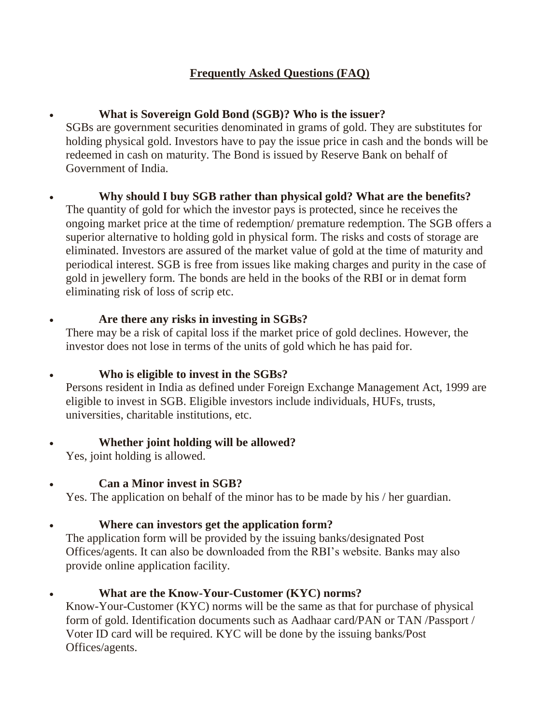# **Frequently Asked Questions (FAQ)**

# **What is Sovereign Gold Bond (SGB)? Who is the issuer?**

SGBs are government securities denominated in grams of gold. They are substitutes for holding physical gold. Investors have to pay the issue price in cash and the bonds will be redeemed in cash on maturity. The Bond is issued by Reserve Bank on behalf of Government of India.

 **Why should I buy SGB rather than physical gold? What are the benefits?** The quantity of gold for which the investor pays is protected, since he receives the ongoing market price at the time of redemption/ premature redemption. The SGB offers a superior alternative to holding gold in physical form. The risks and costs of storage are eliminated. Investors are assured of the market value of gold at the time of maturity and periodical interest. SGB is free from issues like making charges and purity in the case of gold in jewellery form. The bonds are held in the books of the RBI or in demat form eliminating risk of loss of scrip etc.

# **Are there any risks in investing in SGBs?**

There may be a risk of capital loss if the market price of gold declines. However, the investor does not lose in terms of the units of gold which he has paid for.

## **Who is eligible to invest in the SGBs?**

Persons resident in India as defined under Foreign Exchange Management Act, 1999 are eligible to invest in SGB. Eligible investors include individuals, HUFs, trusts, universities, charitable institutions, etc.

## **Whether joint holding will be allowed?**

Yes, joint holding is allowed.

# **Can a Minor invest in SGB?**

Yes. The application on behalf of the minor has to be made by his / her guardian.

# **Where can investors get the application form?**

The application form will be provided by the issuing banks/designated Post Offices/agents. It can also be downloaded from the RBI's website. Banks may also provide online application facility.

# **What are the Know-Your-Customer (KYC) norms?**

Know-Your-Customer (KYC) norms will be the same as that for purchase of physical form of gold. Identification documents such as Aadhaar card/PAN or TAN /Passport / Voter ID card will be required. KYC will be done by the issuing banks/Post Offices/agents.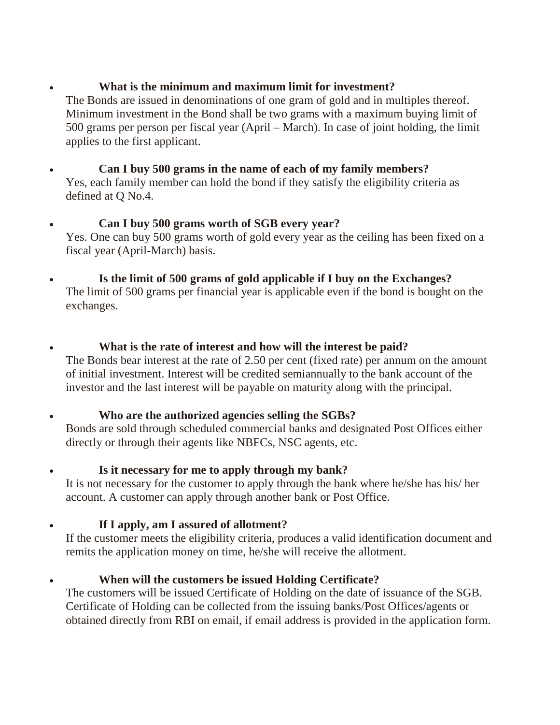# **What is the minimum and maximum limit for investment?**

The Bonds are issued in denominations of one gram of gold and in multiples thereof. Minimum investment in the Bond shall be two grams with a maximum buying limit of 500 grams per person per fiscal year (April – March). In case of joint holding, the limit applies to the first applicant.

- **Can I buy 500 grams in the name of each of my family members?** Yes, each family member can hold the bond if they satisfy the eligibility criteria as defined at Q No.4.
- **Can I buy 500 grams worth of SGB every year?** Yes. One can buy 500 grams worth of gold every year as the ceiling has been fixed on a fiscal year (April-March) basis.
- **Is the limit of 500 grams of gold applicable if I buy on the Exchanges?** The limit of 500 grams per financial year is applicable even if the bond is bought on the exchanges.
- **What is the rate of interest and how will the interest be paid?** The Bonds bear interest at the rate of 2.50 per cent (fixed rate) per annum on the amount of initial investment. Interest will be credited semiannually to the bank account of the investor and the last interest will be payable on maturity along with the principal.

## **Who are the authorized agencies selling the SGBs?**

Bonds are sold through scheduled commercial banks and designated Post Offices either directly or through their agents like NBFCs, NSC agents, etc.

## **Is it necessary for me to apply through my bank?**

It is not necessary for the customer to apply through the bank where he/she has his/ her account. A customer can apply through another bank or Post Office.

# **If I apply, am I assured of allotment?**

If the customer meets the eligibility criteria, produces a valid identification document and remits the application money on time, he/she will receive the allotment.

## **When will the customers be issued Holding Certificate?**

The customers will be issued Certificate of Holding on the date of issuance of the SGB. Certificate of Holding can be collected from the issuing banks/Post Offices/agents or obtained directly from RBI on email, if email address is provided in the application form.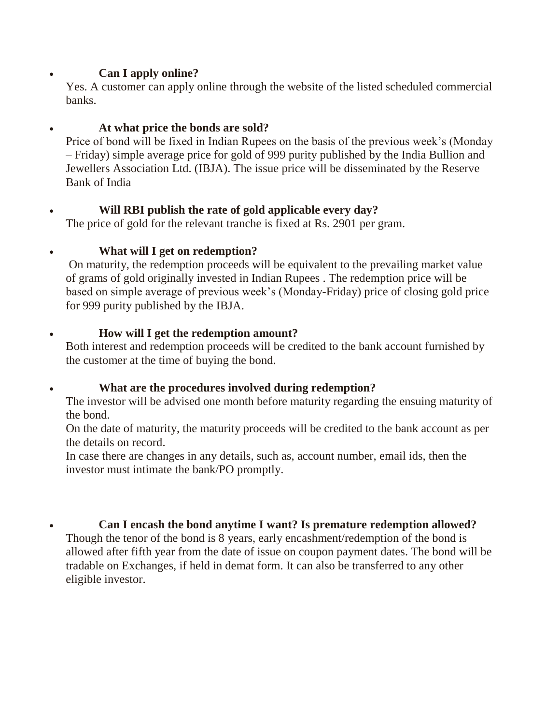## **Can I apply online?**

Yes. A customer can apply online through the website of the listed scheduled commercial banks.

# **At what price the bonds are sold?**

Price of bond will be fixed in Indian Rupees on the basis of the previous week's (Monday – Friday) simple average price for gold of 999 purity published by the India Bullion and Jewellers Association Ltd. (IBJA). The issue price will be disseminated by the Reserve Bank of India

## **Will RBI publish the rate of gold applicable every day?**

The price of gold for the relevant tranche is fixed at Rs. 2901 per gram.

# **What will I get on redemption?**

On maturity, the redemption proceeds will be equivalent to the prevailing market value of grams of gold originally invested in Indian Rupees . The redemption price will be based on simple average of previous week's (Monday-Friday) price of closing gold price for 999 purity published by the IBJA.

## **How will I get the redemption amount?**

Both interest and redemption proceeds will be credited to the bank account furnished by the customer at the time of buying the bond.

## **What are the procedures involved during redemption?**

The investor will be advised one month before maturity regarding the ensuing maturity of the bond.

On the date of maturity, the maturity proceeds will be credited to the bank account as per the details on record.

In case there are changes in any details, such as, account number, email ids, then the investor must intimate the bank/PO promptly.

**Can I encash the bond anytime I want? Is premature redemption allowed?**

Though the tenor of the bond is 8 years, early encashment/redemption of the bond is allowed after fifth year from the date of issue on coupon payment dates. The bond will be tradable on Exchanges, if held in demat form. It can also be transferred to any other eligible investor.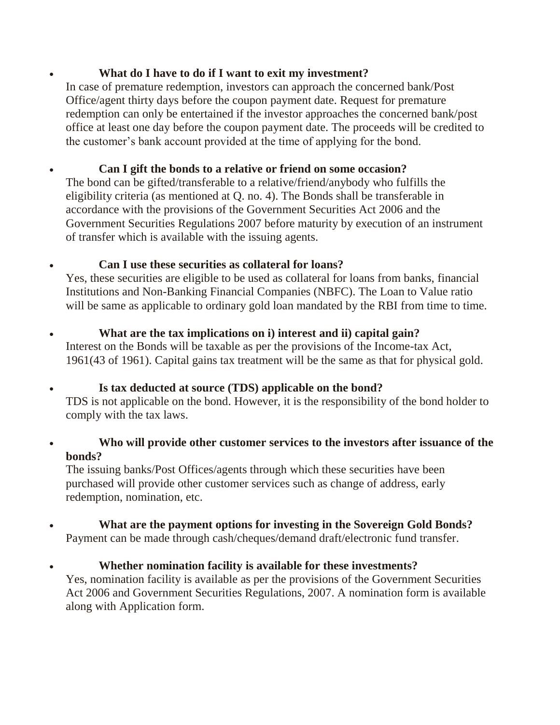#### **What do I have to do if I want to exit my investment?**

In case of premature redemption, investors can approach the concerned bank/Post Office/agent thirty days before the coupon payment date. Request for premature redemption can only be entertained if the investor approaches the concerned bank/post office at least one day before the coupon payment date. The proceeds will be credited to the customer's bank account provided at the time of applying for the bond.

# **Can I gift the bonds to a relative or friend on some occasion?**

The bond can be gifted/transferable to a relative/friend/anybody who fulfills the eligibility criteria (as mentioned at Q. no. 4). The Bonds shall be transferable in accordance with the provisions of the Government Securities Act 2006 and the Government Securities Regulations 2007 before maturity by execution of an instrument of transfer which is available with the issuing agents.

## **Can I use these securities as collateral for loans?**

Yes, these securities are eligible to be used as collateral for loans from banks, financial Institutions and Non-Banking Financial Companies (NBFC). The Loan to Value ratio will be same as applicable to ordinary gold loan mandated by the RBI from time to time.

- **What are the tax implications on i) interest and ii) capital gain?** Interest on the Bonds will be taxable as per the provisions of the Income-tax Act, 1961(43 of 1961). Capital gains tax treatment will be the same as that for physical gold.
- **Is tax deducted at source (TDS) applicable on the bond?** TDS is not applicable on the bond. However, it is the responsibility of the bond holder to comply with the tax laws.
- **Who will provide other customer services to the investors after issuance of the bonds?**

The issuing banks/Post Offices/agents through which these securities have been purchased will provide other customer services such as change of address, early redemption, nomination, etc.

- **What are the payment options for investing in the Sovereign Gold Bonds?** Payment can be made through cash/cheques/demand draft/electronic fund transfer.
- **Whether nomination facility is available for these investments?** Yes, nomination facility is available as per the provisions of the Government Securities Act 2006 and Government Securities Regulations, 2007. A nomination form is available along with Application form.